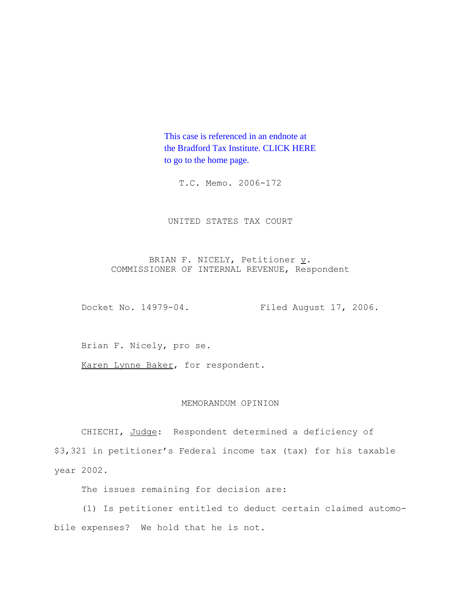This case is referenced in an endnote at [the Bradford Tax Institute. CLICK HERE](http://www.bradfordtaxinstitute.com/)  to go to the home page.

T.C. Memo. 2006-172

UNITED STATES TAX COURT

BRIAN F. NICELY, Petitioner  $\underline{v}$ . COMMISSIONER OF INTERNAL REVENUE, Respondent

Docket No. 14979-04. Filed August 17, 2006.

Brian F. Nicely, pro se.

Karen Lynne Baker, for respondent.

# MEMORANDUM OPINION

CHIECHI, Judge: Respondent determined a deficiency of \$3,321 in petitioner's Federal income tax (tax) for his taxable year 2002.

The issues remaining for decision are:

(1) Is petitioner entitled to deduct certain claimed automobile expenses? We hold that he is not.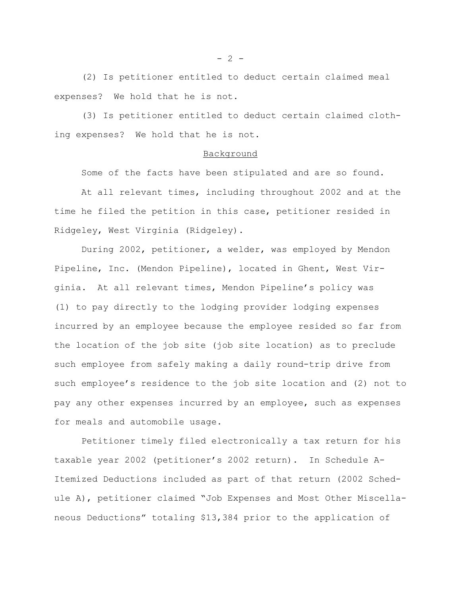(2) Is petitioner entitled to deduct certain claimed meal expenses? We hold that he is not.

(3) Is petitioner entitled to deduct certain claimed clothing expenses? We hold that he is not.

#### Background

Some of the facts have been stipulated and are so found.

At all relevant times, including throughout 2002 and at the time he filed the petition in this case, petitioner resided in Ridgeley, West Virginia (Ridgeley).

During 2002, petitioner, a welder, was employed by Mendon Pipeline, Inc. (Mendon Pipeline), located in Ghent, West Virginia. At all relevant times, Mendon Pipeline's policy was (1) to pay directly to the lodging provider lodging expenses incurred by an employee because the employee resided so far from the location of the job site (job site location) as to preclude such employee from safely making a daily round-trip drive from such employee's residence to the job site location and (2) not to pay any other expenses incurred by an employee, such as expenses for meals and automobile usage.

Petitioner timely filed electronically a tax return for his taxable year 2002 (petitioner's 2002 return). In Schedule A-Itemized Deductions included as part of that return (2002 Schedule A), petitioner claimed "Job Expenses and Most Other Miscellaneous Deductions" totaling \$13,384 prior to the application of

 $- 2 -$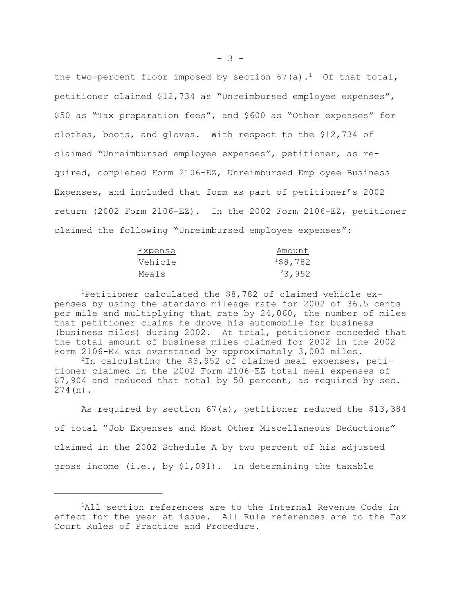the two-percent floor imposed by section  $67(a)$ .<sup>1</sup> Of that total, petitioner claimed \$12,734 as "Unreimbursed employee expenses", \$50 as "Tax preparation fees", and \$600 as "Other expenses" for clothes, boots, and gloves. With respect to the \$12,734 of claimed "Unreimbursed employee expenses", petitioner, as required, completed Form 2106-EZ, Unreimbursed Employee Business Expenses, and included that form as part of petitioner's 2002 return (2002 Form 2106-EZ). In the 2002 Form 2106-EZ, petitioner claimed the following "Unreimbursed employee expenses":

| Expense | Amount  |
|---------|---------|
| Vehicle | 158,782 |
| Meals   | 23,952  |

<sup>1</sup>Petitioner calculated the  $$8,782$  of claimed vehicle expenses by using the standard mileage rate for 2002 of 36.5 cents per mile and multiplying that rate by 24,060, the number of miles that petitioner claims he drove his automobile for business (business miles) during 2002. At trial, petitioner conceded that the total amount of business miles claimed for 2002 in the 2002 Form 2106-EZ was overstated by approximately 3,000 miles.

 $2$ In calculating the \$3,952 of claimed meal expenses, petitioner claimed in the 2002 Form 2106-EZ total meal expenses of \$7,904 and reduced that total by 50 percent, as required by sec. 274(n).

As required by section 67(a), petitioner reduced the \$13,384 of total "Job Expenses and Most Other Miscellaneous Deductions" claimed in the 2002 Schedule A by two percent of his adjusted gross income (i.e., by \$1,091). In determining the taxable

<sup>&</sup>lt;sup>1</sup>All section references are to the Internal Revenue Code in effect for the year at issue. All Rule references are to the Tax Court Rules of Practice and Procedure.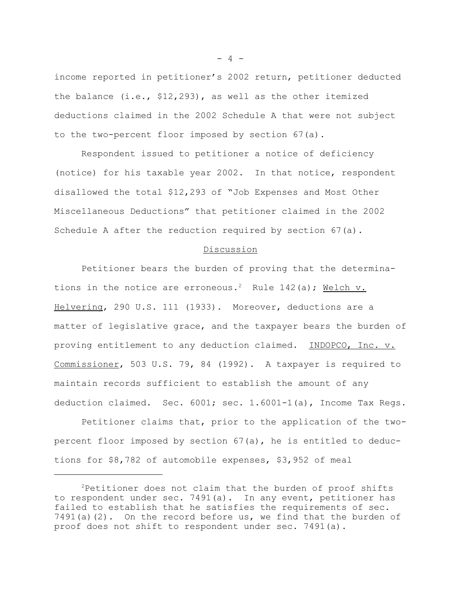income reported in petitioner's 2002 return, petitioner deducted the balance (i.e., \$12,293), as well as the other itemized deductions claimed in the 2002 Schedule A that were not subject to the two-percent floor imposed by section 67(a).

Respondent issued to petitioner a notice of deficiency (notice) for his taxable year 2002. In that notice, respondent disallowed the total \$12,293 of "Job Expenses and Most Other Miscellaneous Deductions" that petitioner claimed in the 2002 Schedule A after the reduction required by section 67(a).

### Discussion

Petitioner bears the burden of proving that the determinations in the notice are erroneous.<sup>2</sup> Rule 142(a); Welch v. Helvering, 290 U.S. 111 (1933). Moreover, deductions are a matter of legislative grace, and the taxpayer bears the burden of proving entitlement to any deduction claimed. INDOPCO, Inc. v. Commissioner, 503 U.S. 79, 84 (1992). A taxpayer is required to maintain records sufficient to establish the amount of any deduction claimed. Sec. 6001; sec. 1.6001-1(a), Income Tax Regs.

Petitioner claims that, prior to the application of the twopercent floor imposed by section 67(a), he is entitled to deductions for \$8,782 of automobile expenses, \$3,952 of meal

 $- 4 -$ 

<sup>2</sup>Petitioner does not claim that the burden of proof shifts to respondent under sec. 7491(a). In any event, petitioner has failed to establish that he satisfies the requirements of sec. 7491(a)(2). On the record before us, we find that the burden of proof does not shift to respondent under sec. 7491(a).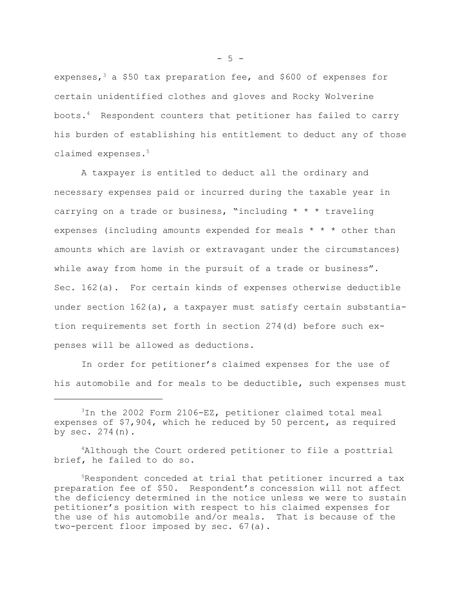expenses,<sup>3</sup> a \$50 tax preparation fee, and \$600 of expenses for certain unidentified clothes and gloves and Rocky Wolverine boots.4 Respondent counters that petitioner has failed to carry his burden of establishing his entitlement to deduct any of those claimed expenses.<sup>5</sup>

A taxpayer is entitled to deduct all the ordinary and necessary expenses paid or incurred during the taxable year in carrying on a trade or business, "including \* \* \* traveling expenses (including amounts expended for meals \* \* \* other than amounts which are lavish or extravagant under the circumstances) while away from home in the pursuit of a trade or business". Sec. 162(a). For certain kinds of expenses otherwise deductible under section 162(a), a taxpayer must satisfy certain substantiation requirements set forth in section 274(d) before such expenses will be allowed as deductions.

In order for petitioner's claimed expenses for the use of his automobile and for meals to be deductible, such expenses must

4Although the Court ordered petitioner to file a posttrial brief, he failed to do so.

 $-5 -$ 

<sup>3</sup>In the 2002 Form 2106-EZ, petitioner claimed total meal expenses of \$7,904, which he reduced by 50 percent, as required by sec.  $274(n)$ .

<sup>5</sup>Respondent conceded at trial that petitioner incurred a tax preparation fee of \$50. Respondent's concession will not affect the deficiency determined in the notice unless we were to sustain petitioner's position with respect to his claimed expenses for the use of his automobile and/or meals. That is because of the two-percent floor imposed by sec. 67(a).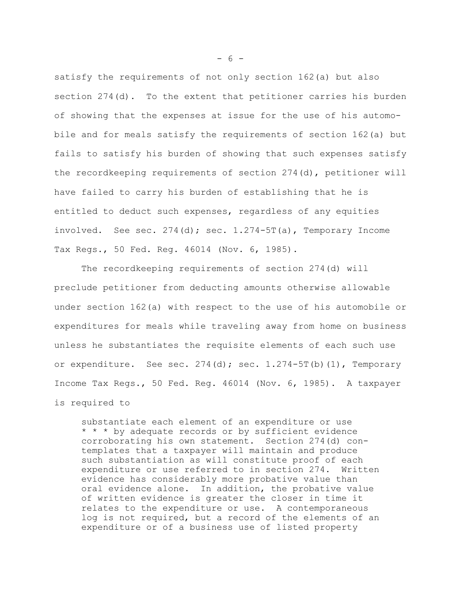satisfy the requirements of not only section 162(a) but also section 274(d). To the extent that petitioner carries his burden of showing that the expenses at issue for the use of his automobile and for meals satisfy the requirements of section 162(a) but fails to satisfy his burden of showing that such expenses satisfy the recordkeeping requirements of section 274(d), petitioner will have failed to carry his burden of establishing that he is entitled to deduct such expenses, regardless of any equities involved. See sec.  $274(d)$ ; sec.  $1.274-5T(a)$ , Temporary Income Tax Regs., 50 Fed. Reg. 46014 (Nov. 6, 1985).

The recordkeeping requirements of section 274(d) will preclude petitioner from deducting amounts otherwise allowable under section 162(a) with respect to the use of his automobile or expenditures for meals while traveling away from home on business unless he substantiates the requisite elements of each such use or expenditure. See sec.  $274(d)$ ; sec.  $1.274-5T(b)(1)$ , Temporary Income Tax Regs., 50 Fed. Reg. 46014 (Nov. 6, 1985). A taxpayer is required to

substantiate each element of an expenditure or use \* \* \* by adequate records or by sufficient evidence corroborating his own statement. Section 274(d) contemplates that a taxpayer will maintain and produce such substantiation as will constitute proof of each expenditure or use referred to in section 274. Written evidence has considerably more probative value than oral evidence alone. In addition, the probative value of written evidence is greater the closer in time it relates to the expenditure or use. A contemporaneous log is not required, but a record of the elements of an expenditure or of a business use of listed property

 $- 6 -$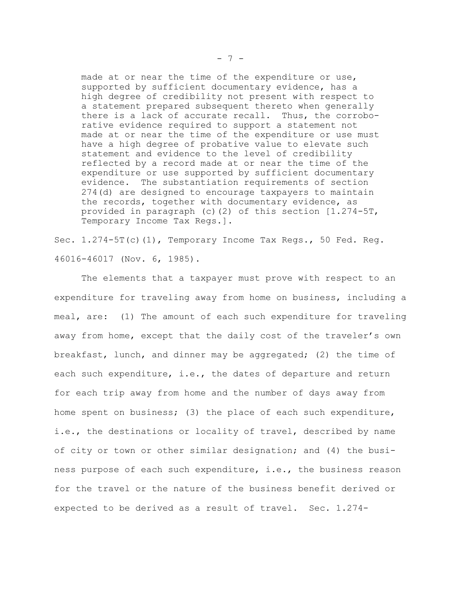made at or near the time of the expenditure or use, supported by sufficient documentary evidence, has a high degree of credibility not present with respect to a statement prepared subsequent thereto when generally there is a lack of accurate recall. Thus, the corroborative evidence required to support a statement not made at or near the time of the expenditure or use must have a high degree of probative value to elevate such statement and evidence to the level of credibility reflected by a record made at or near the time of the expenditure or use supported by sufficient documentary evidence. The substantiation requirements of section 274(d) are designed to encourage taxpayers to maintain the records, together with documentary evidence, as provided in paragraph (c)(2) of this section [1.274-5T, Temporary Income Tax Regs.].

Sec. 1.274-5T(c)(1), Temporary Income Tax Regs., 50 Fed. Reg. 46016-46017 (Nov. 6, 1985).

The elements that a taxpayer must prove with respect to an expenditure for traveling away from home on business, including a meal, are: (1) The amount of each such expenditure for traveling away from home, except that the daily cost of the traveler's own breakfast, lunch, and dinner may be aggregated; (2) the time of each such expenditure, i.e., the dates of departure and return for each trip away from home and the number of days away from home spent on business; (3) the place of each such expenditure, i.e., the destinations or locality of travel, described by name of city or town or other similar designation; and (4) the business purpose of each such expenditure, i.e., the business reason for the travel or the nature of the business benefit derived or expected to be derived as a result of travel. Sec. 1.274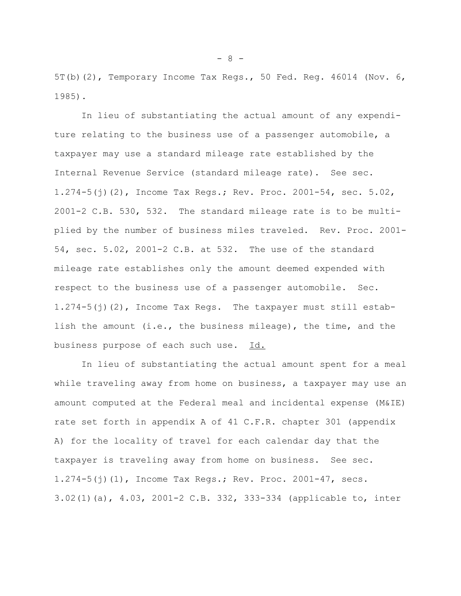5T(b)(2), Temporary Income Tax Regs., 50 Fed. Reg. 46014 (Nov. 6, 1985).

In lieu of substantiating the actual amount of any expenditure relating to the business use of a passenger automobile, a taxpayer may use a standard mileage rate established by the Internal Revenue Service (standard mileage rate). See sec. 1.274-5(j)(2), Income Tax Regs.; Rev. Proc. 2001-54, sec. 5.02, 2001-2 C.B. 530, 532. The standard mileage rate is to be multiplied by the number of business miles traveled. Rev. Proc. 2001- 54, sec. 5.02, 2001-2 C.B. at 532. The use of the standard mileage rate establishes only the amount deemed expended with respect to the business use of a passenger automobile. Sec. 1.274-5(j)(2), Income Tax Regs. The taxpayer must still establish the amount (i.e., the business mileage), the time, and the business purpose of each such use. Id.

In lieu of substantiating the actual amount spent for a meal while traveling away from home on business, a taxpayer may use an amount computed at the Federal meal and incidental expense (M&IE) rate set forth in appendix A of 41 C.F.R. chapter 301 (appendix A) for the locality of travel for each calendar day that the taxpayer is traveling away from home on business. See sec. 1.274-5(j)(1), Income Tax Regs.; Rev. Proc. 2001-47, secs. 3.02(1)(a), 4.03, 2001-2 C.B. 332, 333-334 (applicable to, inter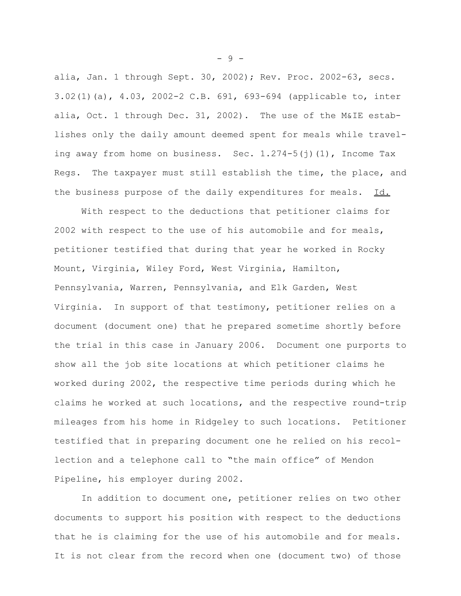alia, Jan. 1 through Sept. 30, 2002); Rev. Proc. 2002-63, secs. 3.02(1)(a), 4.03, 2002-2 C.B. 691, 693-694 (applicable to, inter alia, Oct. 1 through Dec. 31, 2002). The use of the M&IE establishes only the daily amount deemed spent for meals while traveling away from home on business. Sec.  $1.274-5$  (j)(1), Income Tax Regs. The taxpayer must still establish the time, the place, and the business purpose of the daily expenditures for meals. Id.

With respect to the deductions that petitioner claims for 2002 with respect to the use of his automobile and for meals, petitioner testified that during that year he worked in Rocky Mount, Virginia, Wiley Ford, West Virginia, Hamilton, Pennsylvania, Warren, Pennsylvania, and Elk Garden, West Virginia. In support of that testimony, petitioner relies on a document (document one) that he prepared sometime shortly before the trial in this case in January 2006. Document one purports to show all the job site locations at which petitioner claims he worked during 2002, the respective time periods during which he claims he worked at such locations, and the respective round-trip mileages from his home in Ridgeley to such locations. Petitioner testified that in preparing document one he relied on his recollection and a telephone call to "the main office" of Mendon Pipeline, his employer during 2002.

In addition to document one, petitioner relies on two other documents to support his position with respect to the deductions that he is claiming for the use of his automobile and for meals. It is not clear from the record when one (document two) of those

- 9 -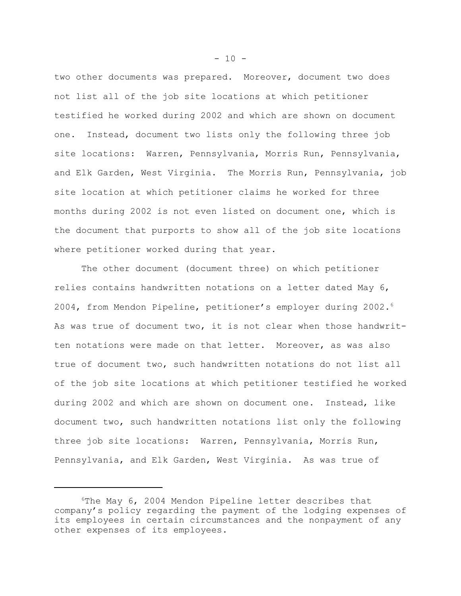two other documents was prepared. Moreover, document two does not list all of the job site locations at which petitioner testified he worked during 2002 and which are shown on document one. Instead, document two lists only the following three job site locations: Warren, Pennsylvania, Morris Run, Pennsylvania, and Elk Garden, West Virginia. The Morris Run, Pennsylvania, job site location at which petitioner claims he worked for three months during 2002 is not even listed on document one, which is the document that purports to show all of the job site locations where petitioner worked during that year.

The other document (document three) on which petitioner relies contains handwritten notations on a letter dated May 6, 2004, from Mendon Pipeline, petitioner's employer during 2002.<sup>6</sup> As was true of document two, it is not clear when those handwritten notations were made on that letter. Moreover, as was also true of document two, such handwritten notations do not list all of the job site locations at which petitioner testified he worked during 2002 and which are shown on document one. Instead, like document two, such handwritten notations list only the following three job site locations: Warren, Pennsylvania, Morris Run, Pennsylvania, and Elk Garden, West Virginia. As was true of

 $-10 -$ 

 $6$ The May  $6$ , 2004 Mendon Pipeline letter describes that company's policy regarding the payment of the lodging expenses of its employees in certain circumstances and the nonpayment of any other expenses of its employees.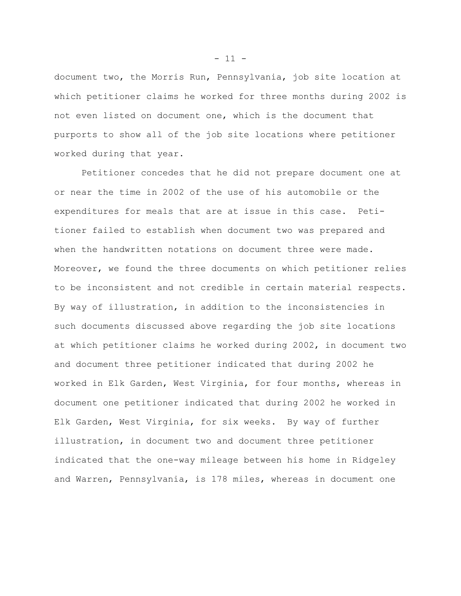document two, the Morris Run, Pennsylvania, job site location at which petitioner claims he worked for three months during 2002 is not even listed on document one, which is the document that purports to show all of the job site locations where petitioner worked during that year.

Petitioner concedes that he did not prepare document one at or near the time in 2002 of the use of his automobile or the expenditures for meals that are at issue in this case. Petitioner failed to establish when document two was prepared and when the handwritten notations on document three were made. Moreover, we found the three documents on which petitioner relies to be inconsistent and not credible in certain material respects. By way of illustration, in addition to the inconsistencies in such documents discussed above regarding the job site locations at which petitioner claims he worked during 2002, in document two and document three petitioner indicated that during 2002 he worked in Elk Garden, West Virginia, for four months, whereas in document one petitioner indicated that during 2002 he worked in Elk Garden, West Virginia, for six weeks. By way of further illustration, in document two and document three petitioner indicated that the one-way mileage between his home in Ridgeley and Warren, Pennsylvania, is 178 miles, whereas in document one

 $- 11 -$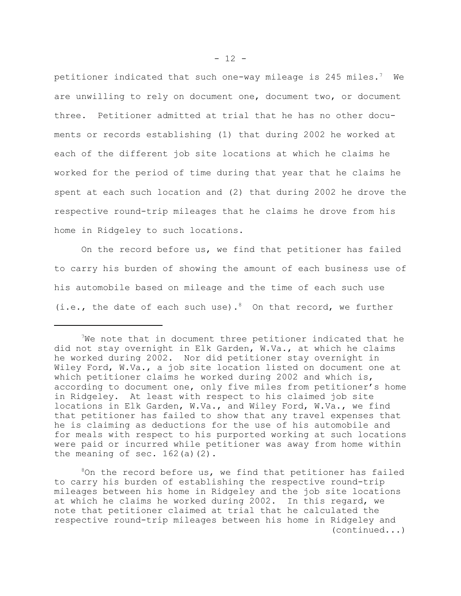petitioner indicated that such one-way mileage is 245 miles.<sup>7</sup> We are unwilling to rely on document one, document two, or document three. Petitioner admitted at trial that he has no other documents or records establishing (1) that during 2002 he worked at each of the different job site locations at which he claims he worked for the period of time during that year that he claims he spent at each such location and (2) that during 2002 he drove the respective round-trip mileages that he claims he drove from his home in Ridgeley to such locations.

On the record before us, we find that petitioner has failed to carry his burden of showing the amount of each business use of his automobile based on mileage and the time of each such use (i.e., the date of each such use).<sup>8</sup> On that record, we further

We note that in document three petitioner indicated that he did not stay overnight in Elk Garden, W.Va., at which he claims he worked during 2002. Nor did petitioner stay overnight in Wiley Ford, W.Va., a job site location listed on document one at which petitioner claims he worked during 2002 and which is, according to document one, only five miles from petitioner's home in Ridgeley. At least with respect to his claimed job site locations in Elk Garden, W.Va., and Wiley Ford, W.Va., we find that petitioner has failed to show that any travel expenses that he is claiming as deductions for the use of his automobile and for meals with respect to his purported working at such locations were paid or incurred while petitioner was away from home within the meaning of sec.  $162(a)(2)$ .

 $8$ On the record before us, we find that petitioner has failed to carry his burden of establishing the respective round-trip mileages between his home in Ridgeley and the job site locations at which he claims he worked during 2002. In this regard, we note that petitioner claimed at trial that he calculated the respective round-trip mileages between his home in Ridgeley and (continued...)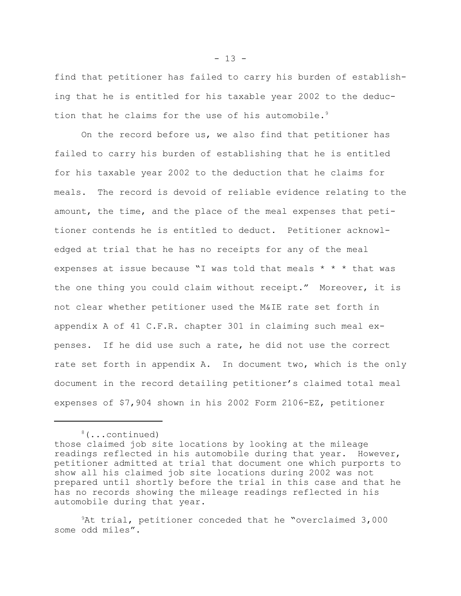find that petitioner has failed to carry his burden of establishing that he is entitled for his taxable year 2002 to the deduction that he claims for the use of his automobile.<sup>9</sup>

On the record before us, we also find that petitioner has failed to carry his burden of establishing that he is entitled for his taxable year 2002 to the deduction that he claims for meals. The record is devoid of reliable evidence relating to the amount, the time, and the place of the meal expenses that petitioner contends he is entitled to deduct. Petitioner acknowledged at trial that he has no receipts for any of the meal expenses at issue because "I was told that meals \* \* \* that was the one thing you could claim without receipt." Moreover, it is not clear whether petitioner used the M&IE rate set forth in appendix A of 41 C.F.R. chapter 301 in claiming such meal expenses. If he did use such a rate, he did not use the correct rate set forth in appendix A. In document two, which is the only document in the record detailing petitioner's claimed total meal expenses of \$7,904 shown in his 2002 Form 2106-EZ, petitioner

9At trial, petitioner conceded that he "overclaimed 3,000 some odd miles".

 $- 13 -$ 

<sup>8(...</sup>continued)

those claimed job site locations by looking at the mileage readings reflected in his automobile during that year. However, petitioner admitted at trial that document one which purports to show all his claimed job site locations during 2002 was not prepared until shortly before the trial in this case and that he has no records showing the mileage readings reflected in his automobile during that year.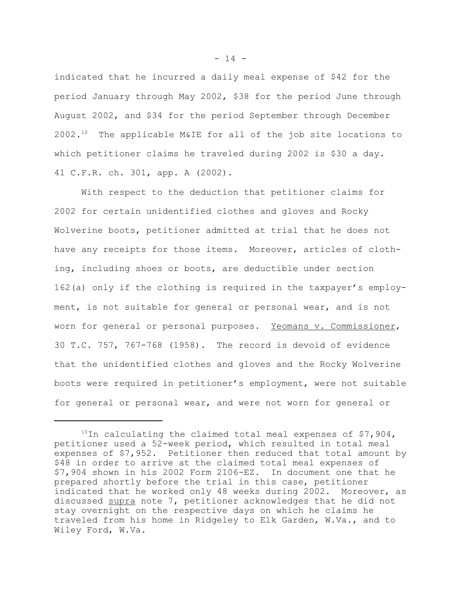indicated that he incurred a daily meal expense of \$42 for the period January through May 2002, \$38 for the period June through August 2002, and \$34 for the period September through December 2002.10 The applicable M&IE for all of the job site locations to which petitioner claims he traveled during 2002 is \$30 a day. 41 C.F.R. ch. 301, app. A (2002).

With respect to the deduction that petitioner claims for 2002 for certain unidentified clothes and gloves and Rocky Wolverine boots, petitioner admitted at trial that he does not have any receipts for those items. Moreover, articles of clothing, including shoes or boots, are deductible under section 162(a) only if the clothing is required in the taxpayer's employment, is not suitable for general or personal wear, and is not worn for general or personal purposes. Yeomans v. Commissioner, 30 T.C. 757, 767-768 (1958). The record is devoid of evidence that the unidentified clothes and gloves and the Rocky Wolverine boots were required in petitioner's employment, were not suitable for general or personal wear, and were not worn for general or

 $- 14 -$ 

 $10$ In calculating the claimed total meal expenses of \$7,904, petitioner used a 52-week period, which resulted in total meal expenses of \$7,952. Petitioner then reduced that total amount by \$48 in order to arrive at the claimed total meal expenses of \$7,904 shown in his 2002 Form 2106-EZ. In document one that he prepared shortly before the trial in this case, petitioner indicated that he worked only 48 weeks during 2002. Moreover, as discussed supra note 7, petitioner acknowledges that he did not stay overnight on the respective days on which he claims he traveled from his home in Ridgeley to Elk Garden, W.Va., and to Wiley Ford, W.Va.